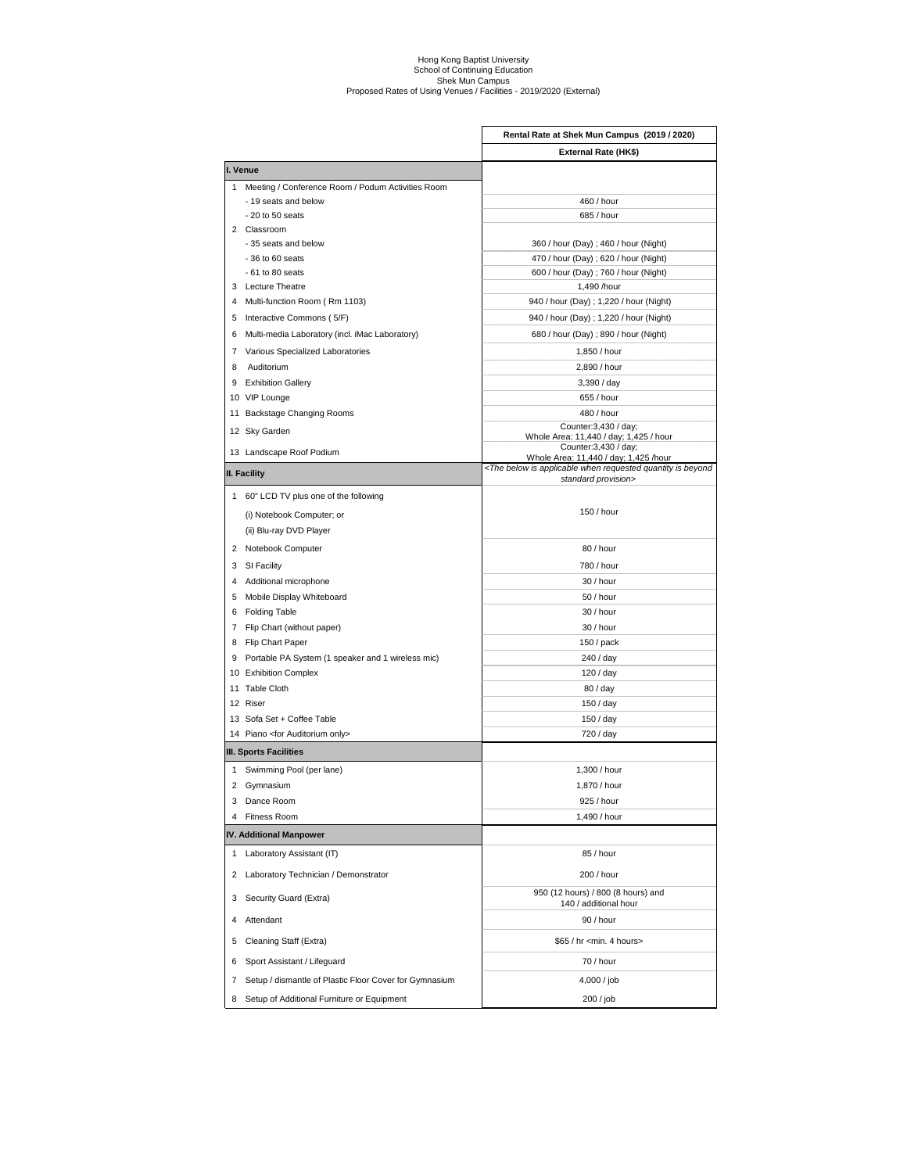## Hong Kong Baptist University<br>School of Continuing Education<br>Shek Mun Campus<br>Proposed Rates of Using Venues / Facilities - 2019/2020 (External)

|   |                                                                | Rental Rate at Shek Mun Campus (2019 / 2020)                                                                                        |
|---|----------------------------------------------------------------|-------------------------------------------------------------------------------------------------------------------------------------|
|   |                                                                | External Rate (HK\$)                                                                                                                |
|   | I. Venue                                                       |                                                                                                                                     |
|   | 1 Meeting / Conference Room / Podum Activities Room            |                                                                                                                                     |
|   | - 19 seats and below                                           | 460 / hour                                                                                                                          |
|   | $-20$ to $50$ seats                                            | 685 / hour                                                                                                                          |
|   | 2 Classroom                                                    |                                                                                                                                     |
|   | - 35 seats and below                                           | 360 / hour (Day) ; 460 / hour (Night)                                                                                               |
|   | $-36$ to $60$ seats                                            | 470 / hour (Day) ; 620 / hour (Night)                                                                                               |
|   | $-61$ to 80 seats<br>3 Lecture Theatre                         | 600 / hour (Day) ; 760 / hour (Night)                                                                                               |
|   |                                                                | 1,490 /hour                                                                                                                         |
|   | 4 Multi-function Room (Rm 1103)<br>5 Interactive Commons (5/F) | 940 / hour (Day) ; 1,220 / hour (Night)<br>940 / hour (Day) ; 1,220 / hour (Night)                                                  |
|   |                                                                |                                                                                                                                     |
|   | 6 Multi-media Laboratory (incl. iMac Laboratory)               | 680 / hour (Day) ; 890 / hour (Night)                                                                                               |
|   | 7 Various Specialized Laboratories                             | 1,850 / hour                                                                                                                        |
| 8 | Auditorium                                                     | 2,890 / hour                                                                                                                        |
|   | 9 Exhibition Gallery                                           | 3,390 / day                                                                                                                         |
|   | 10 VIP Lounge                                                  | 655 / hour                                                                                                                          |
|   | 11 Backstage Changing Rooms                                    | 480 / hour                                                                                                                          |
|   | 12 Sky Garden                                                  | Counter: 3,430 / day;<br>Whole Area: 11,440 / day; 1,425 / hour                                                                     |
|   | 13 Landscape Roof Podium                                       | Counter: 3,430 / day;                                                                                                               |
|   |                                                                | Whole Area: 11,440 / day; 1,425 /hour<br><the applicable="" below="" beyond<="" is="" quantity="" requested="" td="" when=""></the> |
|   | II. Facility                                                   | standard provision>                                                                                                                 |
|   | 1 60" LCD TV plus one of the following                         |                                                                                                                                     |
|   | (i) Notebook Computer; or                                      | 150 / hour                                                                                                                          |
|   | (ii) Blu-ray DVD Player                                        |                                                                                                                                     |
|   | 2 Notebook Computer                                            | 80 / hour                                                                                                                           |
|   | 3 SI Facility                                                  | 780 / hour                                                                                                                          |
|   | 4 Additional microphone                                        | 30 / hour                                                                                                                           |
|   | 5 Mobile Display Whiteboard                                    | 50 / hour                                                                                                                           |
|   | 6 Folding Table                                                | 30 / hour                                                                                                                           |
|   | 7 Flip Chart (without paper)                                   | 30 / hour                                                                                                                           |
|   | 8 Flip Chart Paper                                             | 150/pack                                                                                                                            |
|   | 9 Portable PA System (1 speaker and 1 wireless mic)            | 240 / day                                                                                                                           |
|   | 10 Exhibition Complex                                          | 120 / day                                                                                                                           |
|   | 11 Table Cloth                                                 | 80 / day                                                                                                                            |
|   | 12 Riser                                                       | 150 / day                                                                                                                           |
|   | 13 Sofa Set + Coffee Table                                     | 150 / day                                                                                                                           |
|   | 14 Piano <for auditorium="" only=""></for>                     | 720 / day                                                                                                                           |
|   | III. Sports Facilities                                         |                                                                                                                                     |
|   |                                                                |                                                                                                                                     |
|   | 1 Swimming Pool (per lane)                                     | 1,300 / hour                                                                                                                        |
|   | 2 Gymnasium                                                    | 1,870 / hour                                                                                                                        |
|   | 3 Dance Room                                                   | 925 / hour                                                                                                                          |
| 4 | Fitness Room                                                   | 1,490 / hour                                                                                                                        |
|   | IV. Additional Manpower                                        |                                                                                                                                     |
|   | 1 Laboratory Assistant (IT)                                    | 85 / hour                                                                                                                           |
| 2 | Laboratory Technician / Demonstrator                           | 200 / hour                                                                                                                          |
| 3 | Security Guard (Extra)                                         | 950 (12 hours) / 800 (8 hours) and<br>140 / additional hour                                                                         |
| 4 | Attendant                                                      | 90 / hour                                                                                                                           |
| 5 | Cleaning Staff (Extra)                                         | \$65 / hr <min. 4="" hours=""></min.>                                                                                               |
| 6 | Sport Assistant / Lifeguard                                    | 70 / hour                                                                                                                           |
| 7 | Setup / dismantle of Plastic Floor Cover for Gymnasium         | 4,000 / job                                                                                                                         |
| 8 | Setup of Additional Furniture or Equipment                     | 200 / job                                                                                                                           |